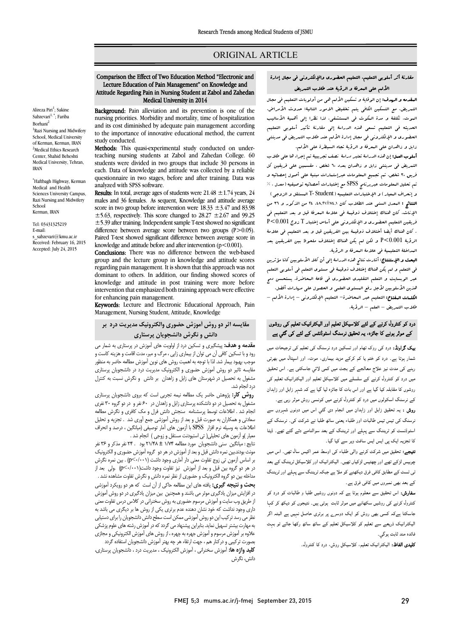### ORIGINAL ARTICLE

# مقارنۀ أثر أسلوبی التعلیم، التعلیم الحضوري والإلکترونی فی مجال إدارة الألم علی المعرفۀ و الرؤیۀ عند طلاب التمریض

Ī 

**المقدمه و الرسف:** إن الوقایۀ و تسکین الألم هی من أولویات التعلیم فی مجال<br>العقدمه و الرسمی می می باشد: الموت، تکلفۀ و مدة المکوث فی المستشفی. لذا نظرا إلی أهمیۀ الأسالیب الحدیثه فی التعلیم تسعی هذه الدراسۀ إلی مقارنۀ تأثیر أسلوبی التعلیم الحضوري و الإلکترونی فی مجال إدارة الألم عند طلاب التمریض فی مدینتی زابل و زاهدان علی المعرفۀ و الرؤیۀ تجاه السیطرة علی الألم. التمریض، مع التسکین الکافی یتم تخفیض الامور التالیۀ: حدوث الأمراض،

أ**سلوب العمل:** إن هذه الدراسۀ تعتبر دراسۀ نصف تجربییۀ تـم إجراء ها علی طلاب<br>. التمریض فی مدینتی زابل و زاهدان بعدد 60 شخص ، مقسمین علی فریقین کل تم تحلیل المعلومات عبربرنامج SPSS مع إختبارات أحصائیه توصیفیه (معدل ، % و إنحراف المعیار) و الإختبارات التعلیمیه (Student -T المستقل و الزوجی) النتائج : المعدل السنی عند الطلاب کان .48,21±74,1 24 من الذکور و 36 من الإناث. کان هناك إختلاف ذوقیمۀ فی علامۀ المعرفۀ قبل و بعد التعلیم فی فریقین التعلیم الحضوري و الإلکترونی علی أساس إختبار T زوج 0.001>P . المان صاب ایضا احتلاف دونیته بین الفریقین قبل و بعد التعلیم فی علامه<br>الرؤیۀ P<0.001 و لکن لم یکن هناك إختلاف ملحوظ بین الفریقین بعد المداخلۀ التعلیمیۀ فی علامۀ المعرفۀ و الرؤیۀ. فریق 30 شخص، تم تجمیع المعلومات عبرإستمارات مبنیۀ علی أصول إحصائیه و . کان هناك أیضا أختلاف ذوقیمۀ بین الفریقین قبل و بعد التعلیم فی علامۀ

 البحث و الإستنتاج: أشارت نتائج هذه الدراسۀ إلی أن کلا الأسلوبین کانا مؤثرین فی التعلم و لم یکن هناك إختلاف ذوقیمۀ فی مستوي التعلم فی أسلوبی التعلم عبر الوبسایت و التعلم التقلیدي الحضوري فی قاعۀ المحاضرة. یستحسن دمج هذین الأسلوبین لأجل رفع المستوي العلمی و الحصول علی مهارات أفضل. Ĩ طلاب التمریض – العلم – الرؤیۀ. الکلمات المفتاح: التعلیم عبر المحاضرة- التعلیم الإلکترونی – إدارة الألم –

## درد کو کنٹرول کرنے کے لئے کلاسیکل تعلیم اور الیکٹرانیک تعلیم کی روشوں کے موثر ہونے کا جائزہ، یہ تحقیق نرسنگ اسٹوڈنٹس کے لئے کی گئي ہے

**یک گراونڈ:** درد کی روک تھام اور تسکین درد نرسنگ کی تعلیم کی ترجیحات میں شمار ہوتا ہے۔ درد کو ختم یا کم کرکے مزید بیماری، موت، اور اسپتال میں بھرتی رہنے کی مدت نیز علاج معالجے کے بجٹ میں کمی لائي جاسکتی ہے۔ اس تحقیق میں درد کو کنٹرول کرنے کے سلسلے میں کلاسیکل تعلیم اور الیکٹرانیک تعلیم کی روشوں کا مقابلہ کیا گیا ہے اور اس بات کا جائزہ لیا گیا ہے کہ شہر زابل اور زاہدان کے نرسنگ اسکولوں میں درد کو کنٹرول کرنے میں کونسی روش موثر رہی ہے۔

**روش :** یہ تحقیق زابل اور زاہدان میں انجام دی گئبی اس میں دونوں شہروں سے رسنگ کی تیس تیس طالبات اور طلباء یعنی ساٹھ طلبا نے شرکت کی۔ نرسنگ کے اسٹوڈنسٹ کو ٹریننگ سے پہلے اور ٹریننگ کے بعد سوالنامے دئے گئے تھے۔ ڈیٹا کا تجزیہ ایک پی ایس ایس سافٹ ویر سے کیا گیا۔<br>۔

**میجے.** تحقیق میں سرت ترتے والی صبحہ ہی اوسط معر انیس سان تھی۔ اس میں<br>چوبیس لڑکے تھے اور چھتیس لڑکیاں تھیں۔ الیکٹرانیک اور کلاسیکل ٹریننگ کے بعد پرییس برنے بھے ابرر پچیس برنیاں بھیں۔ این مرتبی کے ابراہ کے بعد کے بعد<br>بی ٹسٹ کے مطابق کافی فرق دیکھنے کو ملا ہے جبکہ ٹریننگ سے پہلے اور ٹریننگ ی<br>کے بعد بھی نمبروں میں کافی فرق ہے۔ **نتیجے:** تحقیق میں شرکت کرنے والی طلباء کی اوسط عمر اکیس سال تھی۔ اس میں

—<br>**سفارش:** اس تحقیق سے معلوم ہوتا ہے کہ دونوں روشیں طلبا و طالبات کو درد کو ۔<br>کنٹرول کرنے کی روشیں سکھانے میں موثر ثابت ہوتی ہیں۔ نتیجوں کو دیکھ کر کہا ۔<br>جاسکتا ہےکہ کسی بھی روش کو ایک دوسرے پر برتری حاصل نہیں ہے البتہ اگر ۔<br>لیکٹرانیک ذریعے سے تعلیم کو کلاسیکل تعلیم کے ساتھ ساتھ رکھا جائے تو بہت فائده مند ثابت ٻوگي۔

**تلبیدی الفاظ:** الیکٹرانیک تعلیم، کلاسیکل روش، درد کا کنٹرول۔

## Comparison the Effect of Two Education Method "Electronic and Lecture Education of Pain Management" on Knowledge and Attitude Regarding Pain in Nursing Student at Zabol and Zahedan Medical University in 2014

Ī 

**Background:** Pam aneviation and its prevention is one of the nursing priorities. Morbidity and mortality, time of hospitalization and its cost diminished by adequate pain management .according to the importance of innovative educational method, the current<br>study conducted Background: Pain alleviation and its prevention is one of the study conducted.

Methods: This quasi-experimental study conducted on under- teaching nursing students at Zabol and Zahedan College. 60 each. Data of knowledge and attitude was collected by a reliable questionnaire in two stages, before and after training. Data was students were divided in two groups that include 30 persons in analyzed with SPSS software.

**Results:** In total, average ages of students were  $21.48 \pm 1.74$  years,  $24$ males and 36 females. As sequent, Knowledge and attitude average  $\pm$ 5.63, respectively. This score changed to 28.27  $\pm$ 2.67 and 99.25  $\pm$  5.39 after training. Independent sample T-test showed no significant Paired T-test showed significant difference between average score in knowledge and attitude before and after intervention  $(p < 0.001)$ . score in two group before intervention were  $18.33 \pm 3.47$  and  $83.98$ difference between average score between two groups (P > 0.05).

group and the lecture group in knowledge and attitude scores regarding pain management. It is shown that this approach was not knowledge and attitude in post training were more before intervention that emphasized both training approach were effective Conclusions: There was no difference between the web-based dominant to others. In addition, our finding showed scores of for enhancing pain management.

for chilancing pail management.<br>**Keywords:** Lecture and Electronic Educational Approach, Pain Management, Nursing Student, Attitude, Knowledge

## مقایسه اثر دو روش آموزش حضوري والکترونیک مدیریت درد بر دانش و نگرش دانشجویان پرستاري

**مقدمه و هدف:** پیشگیری و تسکین درد از اولویت های آموزش در پرستاری به شمار می رود و با تسکین کافی آن می توان از بیماري زایی ، مرگ و میر، مدت اقامت و هزینه کاست و مقایسه تاثیر دو روش آموزش حضوري و الکترونیک مدیریت درد در دانشجویان پرستاري مشغول به تحصیل در شهرستان هاي زابل و زاهدان بر دانش و نگرش نسبت به کنترل موجب بهبود بیمار شد. لذا با توجه به اهمیت روش هاي نوین آموزش مطالعه حاضر به منظور درد انجام شد.

رد <sub>ان</sub>جام شد.<br>**روش کار:** پژوهش حاضر یک مطالعه نیمه تجربی است که بروی دانشجویان پرستاری مرد ت در کار میبررد تاریخ در در دور دانشکده پرستاری شد.<br>مشغول به تحصیل در دو دانشکده پرستاری زابل و زاهدان در ۶۰ نفر و در دو گروه ۳۰ نفری انجام شد . اطلاعات توسط پرسشنامه سنجش دانش فرل و مک کافري و نگرش مطالعه سعادیی و همتاران به صورت قبل و بعد از روس آموزشی جمع آوری شد . نجزیه و نخلیل<br>طلاعات به وسیله نرم افزار SPSS با آزمون های آمار توصیفی (میانگین ، درصد و انحراف معیار )و آزمون هاي تحلیلی( تی استیودنت مستقل و زوجی ) انجام شد . سعادتی و همکاران به صورت قبل و بعد از روش آموزشی جمع آوري شد . تجزیه و تحلیل

 نتایج : میانگین سنی دانشجویان مورد مطالعه 1/74 ± 21/48 بود . 24 نفر مذکر و 36 نفر بوت بودند.بین نمره دانس قبل و بعد از آموزش در هر دو ۲ روه آموزش خصوری و انگیزوییک<br>بر اساس آزمون تی زوج تفاوت معنی دار آماری وجود داشت (۵/۰۰۱) . بین نمره نگرش در هر دو گروه بین قبل و بعد از آموزش نیز تفاوت وجود داشت(0/001>p (.ولی بعد از مداخله بین دو گروه الکترونیک و حضوري از نظر نمره دانش و نگرش تفاوت مشاهده نشد . ب**حث و تعییت تیزی.** یافته های این مصافحه حالی از آن است که هر نو رویترد اموزشی<br>در افزایش میزان یادگیری موثر می باشند و همچنین بین میزان یادگیری در دو روش آموزش از طریق وب سایت و آموزش مرسوم حضوري به روش سخنرانی در کلاس درس تفاوت معنی داري وجود نداشت که خود نشان دهنده عدم برتري یکی از روش ها بر دیگري می باشد به عتر می رسد تر تیب این نو روس امورسی ممکن است سطح دانش داشتبویان را برای دستیابی<br>به مهارت بیشتر تسهیل نماید. بنابراین پیشنهاد می گردد که در آموزش رشته های علوم پزشکی علاوه بر آموزش مرسوم و آموزش جهره به چهره ، از روش هاي آموزش الکترونیکی و مجازي بصورت ترکیبی و درکنار هم ، جهت ارتقاء هر چه بهتر آموزش دانشجویان استفاده گردد<br>مدید میسید مونث بودند.بین نمره دانش قبل و بعد از آموزش در هر دو گروه آموزش حضوري و الکترونیک بحث و نتیجه گیري: یافته هاي این مطالعه حاکی از آن است که هر دو رویکرد آموزشی نظر می رسد ترکیب این دو روش آموزشی ممکن است سطح دانش دانشجویان را براي دستیابی

**کلید واژه ها:** آموزش سخنرانی ، آموزش الکترونیک ، مدیریت درد ، دانشجویان پرستاری،<br>نانشی نگیشه دانش، نگرش

Alireza Piri<sup>1</sup>; Sakine Sabzevari<sup>1,\*</sup>; Fariba Borhani2 <sup>1</sup>Razi Nursing and Midwifery School, Medical University of Kerman, Kerman, IRAN <sup>2</sup>Medical Ethics Research Center, Shahid Beheshti Medical University, Tehran, IRAN

\* Haftbagh Highway, Kerman Medical and Health Sciences University Campus, Razi Nursing and Midwifery School Kerman, IRAN

Tel: 03431325219 E-mail: s\_sabzevari@kmu.ac.ir Received: February 16, 2015 Accepted: July 24, 2015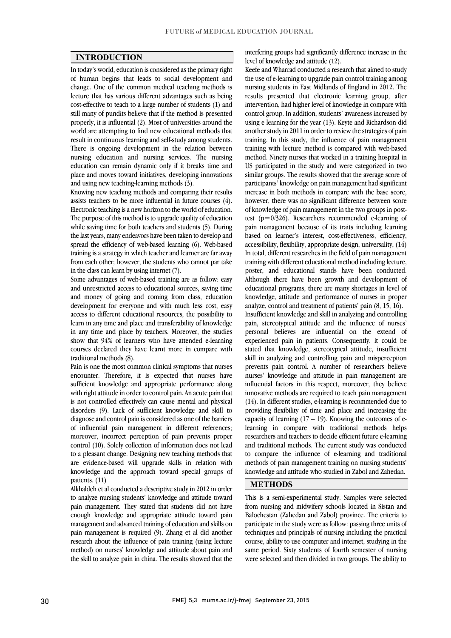$\overline{a}$  $\overline{a}$ 

#### INTRODUCTION

 In today's world, education is considered as the primary right of human begins that leads to social development and lecture that has various different advantages such as being cost-effective to teach to a large number of students (1) and still many of pundits believe that if the method is presented properly, it is influential (2). Most of universities around the result in continuous learning and self-study among students. There is ongoing development in the relation between nursing education and nursing services. The nursing education can remain dynamic only if it breaks time and place and moves toward initiatives, developing innovations<br>and using new teaching-learning methods (3) change. One of the common medical teaching methods is world are attempting to find new educational methods that and using new teaching-learning methods (3).

 Knowing new teaching methods and comparing their results assists teachers to be more influential in future courses (4). Electronic teaching is a new horizon to the world of education.<br>The gymnass of this mathed is to ynoteds quality of education. while saving time for both teachers and students (5). During the last years, many endeavors have been taken to develop and spread the efficiency of web-based learning (6). Web-based from each other; however, the students who cannot par take The purpose of this method is to upgrade quality of education training is a strategy in which teacher and learner are far away in the class can learn by using internet (7).

 Some advantages of web-based training are as follow: easy and unrestricted access to educational sources, saving time development for everyone and with much less cost, easy access to different educational resources, the possibility to learn in any time and place and transferability of knowledge in any time and place by teachers. Moreover, the studies courses declared they have learnt more in compare with and money of going and coming from class, education show that 94% of learners who have attended e-learning traditional methods (8).

 Pain is one the most common clinical symptoms that nurses encounter. Therefore, it is expected that nurses have with right attitude in order to control pain. An acute pain that is not controlled effectively can cause mental and physical disorders (9). Lack of sufficient knowledge and skill to of influential pain management in different references; moreover, incorrect perception of pain prevents proper control (10). Solely collection of information does not lead to a pleasant change. Designing new teaching methods that knowledge and the approach toward special groups of sufficient knowledge and appropriate performance along diagnose and control pain is considered as one of the barriers are evidence-based will upgrade skills in relation with patients. (11)

 Alkhaldeh et al conducted a descriptive study in 2012 in order to analyze nursing students' knowledge and attitude toward enough knowledge and appropriate attitude toward pain management and advanced training of education and skills on pain management is required (9). Zhang et al did another research about the influence of pain training (using lecture the skill to analyze pain in china. The results showed that the pain management. They stated that students did not have method) on nurses' knowledge and attitude about pain and

interfering groups had significantly difference increase in the level of knowledge and attitude (12).

 Keefe and Wharrad conducted a research that aimed to study the use of e-learning to upgrade pain control training among results presented that electronic learning group, after intervention, had higher level of knowledge in compare with control group. In addition, students' awareness increased by using e learning for the year (13). Keyte and Richardson did training. In this study, the influence of pain management training with lecture method is compared with web-based method. Ninety nurses that worked in a training hospital in similar groups. The results showed that the average score of participants' knowledge on pain management had significant increase in both methods in compare with the base score, however, there was no significant difference between score of knowledge of pain management in the two groups in post-<br>test  $(p=0/326)$ . Researchers recommended e-learning of pain management because of its traits including learning based on learner's interest, cost-effectiveness, efficiency, accessibility, flexibility, appropriate design, universality, (14) training with different educational method including lecture, poster, and educational stands have been conducted. Although there have been growth and development of educational programs, there are many shortages in level of analyze, control and treatment of patients' pain (8, 15, 16). Insufficient knowledge and skill in analyzing and controlling pain, stereotypical attitude and the influence of nurses' personal believes are influential on the extend of stated that knowledge, stereotypical attitude, insufficient skill in analyzing and controlling pain and misperception prevents pain control. A number of researchers believe nursing students in East Midlands of England in 2012. The another study in 2011 in order to review the strategies of pain US participated in the study and were categorized in two of knowledge of pain management in the two groups in post-In total, different researches in the field of pain management knowledge, attitude and performance of nurses in proper experienced pain in patients. Consequently, it could be nurses' knowledge and attitude in pain management are

influential factors in this respect, moreover, they believe innovative methods are required to teach pain management (14). In different studies, e-learning is recommended due to providing flexibility of time and place and increasing the Learning in compare with traditional methods helps researchers and teachers to decide efficient future e-learning and traditional methods. The current study was conducted to compare the influence of e-learning and traditional knowledge and attitude who studied in Zabol and Zahedan. capacity of learning  $(17 - 19)$ . Knowing the outcomes of emethods of pain management training on nursing students'

#### METHODS

 This is a semi-experimental study. Samples were selected Balochestan (Zahedan and Zabol) province. The criteria to participate in the study were as follow: passing three units of techniques and principals of nursing including the practical course, ability to use computer and internet, studying in the were selected and then divided in two groups. The ability to from nursing and midwifery schools located in Sistan and same period. Sixty students of fourth semester of nursing

i<br>I  $\overline{a}$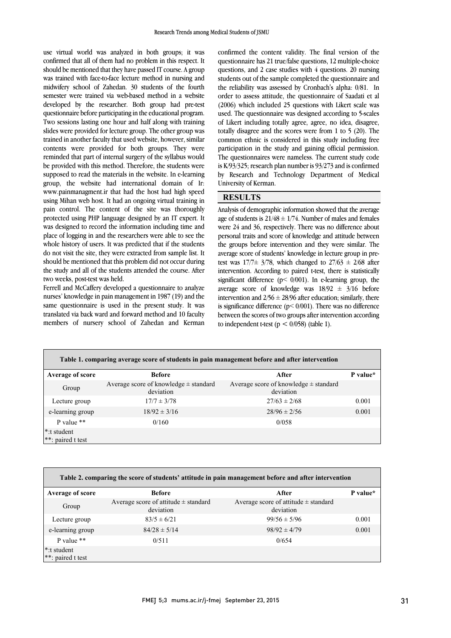use virtual world was analyzed in both groups; it was confirmed that all of them had no problem in this respect. It should be mentioned that they have passed IT course. A group was trained with face-to-face lecture method in nursing and semester were trained via web-based method in a website developed by the researcher. Both group had pre-test questionnaire before participating in the educational program. slides were provided for lecture group. The other group was trained in another faculty that used website, however, similar contents were provided for both groups. They were reminded that part of internal surgery of the syllabus would be provided with this method. Therefore, the students were<br>supposed to read the materials in the website. In e-learning group, the website had international domain of Ir: www.painmanagment.ir that had the host had high speed using Mihan web host. It had an ongoing virtual training in protected using PHP language designed by an IT expert. It was designed to record the information including time and place of logging in and the researchers were able to see the whole history of users. It was predicted that if the students should be mentioned that this problem did not occur during the study and all of the students attended the course. After midwifery school of Zahedan. 30 students of the fourth Two sessions lasting one hour and half along with training be provided with this method. Therefore, the students were pain control. The content of the site was thoroughly do not visit the site, they were extracted from sample list. It two weeks, post-test was held.

Ferrell and McCaffery developed a questionnaire to analyze same questionnaire is used in the present study. It was translated via back ward and forward method and 10 faculty members of nursery school of Zahedan and Kerman nurses' knowledge in pain management in 1987 (19) and the

 confirmed the content validity. The final version of the questionnaire has 21 true/false questions, 12 multiple-choice questions, and 2 case studies with 4 questions. 20 nursing students out of the sample completed the questionnaire and order to assess attitude, the questionnaire of Saadati et al used. The questionnaire was designed according to 5-scales or likert including totally agree, agree, no idea, disagree,<br>totally disagree and the scores were from 1 to 5 (20). The common ethnic is considered in this study including free participation in the study and gaining official permission. The questionnaires were nameless. The current study code  $\frac{1}{B}$  Research and Technology Department of Medical by Research and Technology Department of Medical the reliability was assessed by Cronbach's alpha: 0/81. In (2006) which included 25 questions with Likert scale was of Likert including totally agree, agree, no idea, disagree, is K/93/325; research plan number is 93/273 and is confirmed University of Kerman.

## **RESULTS**

j  $\alpha$ age of students is  $21/48 \pm 1/74$ . Number of males and females were 24 and 36, respectively. There was no difference about personal traits and score of knowledge and attitude between the groups before intervention and they were similar. The test was  $17/7\pm 3/78$ , which changed to  $27/63 \pm 2/68$  after intervention. According to paired t-test, there is statistically significant difference (p< 0/001). In e-learning group, the average score of knowledge was  $18/92 \pm 3/16$  before incredition and  $2/50 \pm 26/50$  and equivalently, similarly, there is significance difference ( $p$ < 0/001). There was no difference between the scores of two groups after intervention according Analysis of demographic information showed that the average average score of students' knowledge in lecture group in preintervention and  $2/56 \pm 28/96$  after education; similarly, there to independent t-test ( $p < 0/058$ ) (table 1).

I

 $\overline{a}$ 

| Table 1. comparing average score of students in pain management before and after intervention |                                                        |                                                        |          |  |
|-----------------------------------------------------------------------------------------------|--------------------------------------------------------|--------------------------------------------------------|----------|--|
| Average of score                                                                              | <b>Before</b>                                          | After                                                  | P value* |  |
| Group                                                                                         | Average score of knowledge $\pm$ standard<br>deviation | Average score of knowledge $\pm$ standard<br>deviation |          |  |
| Lecture group                                                                                 | $17/7 \pm 3/78$                                        | $27/63 \pm 2/68$                                       | 0.001    |  |
| e-learning group                                                                              | $18/92 \pm 3/16$                                       | $28/96 \pm 2/56$                                       | 0.001    |  |
| P value $**$                                                                                  | 0/160                                                  | 0/0.58                                                 |          |  |
| <sup>*</sup> :t student<br>**: paired t test                                                  |                                                        |                                                        |          |  |
|                                                                                               |                                                        |                                                        |          |  |

 $\overline{a}$ 

| Table 2. comparing the score of students' attitude in pain management before and after intervention |                                                       |                                                       |          |  |
|-----------------------------------------------------------------------------------------------------|-------------------------------------------------------|-------------------------------------------------------|----------|--|
| <b>Average of score</b>                                                                             | <b>Before</b>                                         | After                                                 | P value* |  |
| Group                                                                                               | Average score of attitude $\pm$ standard<br>deviation | Average score of attitude $\pm$ standard<br>deviation |          |  |
| Lecture group                                                                                       | $83/5 \pm 6/21$                                       | $99/56 \pm 5/96$                                      | 0.001    |  |
| e-learning group                                                                                    | $84/28 \pm 5/14$                                      | $98/92 \pm 4/79$                                      | 0.001    |  |
| P value $**$                                                                                        | 0/511                                                 | 0/654                                                 |          |  |
| <sup>*</sup> :t student<br>**: paired t test                                                        |                                                       |                                                       |          |  |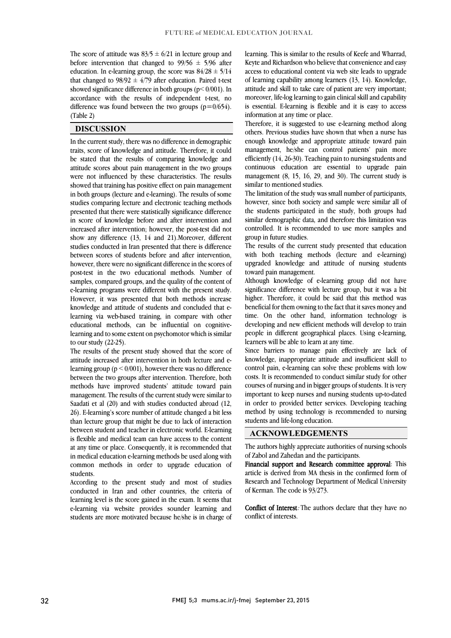٦

The score of attitude was  $83/5 \pm 6/21$  in lecture group and before intervention that changed to  $99/56 \pm 5/96$  after education. In e-learning group, the score was  $84/28 \pm 5/14$ that changed to  $98/92 \pm 4/79$  after education. Paired t-test showed significance difference in both groups (p< 0/001). In difference was found between the two groups  $(p=0/654)$ . accordance with the results of independent t-test, no (Table 2)

#### DISCUSSION

 In the current study, there was no difference in demographic traits, score of knowledge and attitude. Therefore, it could be stated that the results of comparing knowledge and attitude scores about pain management in the two groups were not innuenced by these characteristics. The results<br>showed that training has positive effect on pain management in both groups (lecture and e-learning). The results of some studies comparing lecture and electronic teaching methods presented that there were statistically significance difference in score of knowledge before and after intervention and<br>increased after intervention; however, the post-test did not show any difference  $(13, 14$  and  $21)$ . Moreover, different studies conducted in Iran presented that there is difference between scores of students before and after intervention, post-test in the two educational methods. Number of samples, compared groups, and the quality of the content of e-learning programs were different with the present study. However, it was presented that both methods increase learning via web-based training, in compare with other educational methods, can be influential on cognitive- learning and to some extent on psychomotor which is similar were not influenced by these characteristics. The results in score of knowledge before and after intervention and however, there were no significant difference in the scores of knowledge and attitude of students and concluded that eto our study (22-25).

to our study (22-25).<br>The results of the present study showed that the score of attitude increased after intervention in both lecture and elearning group  $(p < 0/001)$ , however there was no difference between the two groups after intervention. Therefore, both methods have improved students' attitude toward pain Saadati et al (20) and with studies conducted abroad (12, 26). E-learning's score number of attitude changed a bit less than lecture group that might be due to lack of interaction is flexible and medical team can have access to the content at any time or place. Consequently, it is recommended that in medical education e-learning methods be used along with common methods in order to upgrade education of management. The results of the current study were similar to between student and teacher in electronic world. E-learning students.

 According to the present study and most of studies conducted in Iran and other countries, the criteria of learning level is the score gained in the exam. It seems that e-learning via website provides sounder learning and students are more motivated because he/she is in charge of

 learning. This is similar to the results of Keefe and Wharrad, Keyte and Richardson who believe that convenience and easy access to educational content via web site leads to upgrade of learning capability among learners (13, 14). Knowledge, attitude and skill to take care of patient are very important; is essential. E-learning is flexible and it is easy to access moreover, life-log learning to gain clinical skill and capability information at any time or place.

 Therefore, it is suggested to use e-learning method along enough knowledge and appropriate attitude toward pain management, he/she can control patients' pain more efficiently (14, 26-30). Teaching pain to nursing students and continuous education are essential to upgrade pain management  $(8, 15, 16, 29, \text{ and } 30)$ . The current study is similar to montioned studies others. Previous studies have shown that when a nurse has similar to mentioned studies.

 The limitation of the study was small number of participants, however, since both society and sample were similar all of the students participated in the study, both groups had similar demographic data, and therefore this immation was<br>controlled. It is recommended to use more samples and similar demographic data, and therefore this limitation was group in future studies.

 The results of the current study presented that education with both teaching methods (lecture and e-learning) upgraded knowledge and attitude of nursing students<br>toward.pain.management toward pain management.

 Although knowledge of e-learning group did not have significance difference with lecture group, but it was a bit higher. Therefore, it could be said that this method was time. On the other hand, information technology is developing and new efficient methods will develop to train people in different geographical places. Using e-learning, beneficial for them owning to the fact that it saves money and learners will be able to learn at any time.

 Since barriers to manage pain effectively are lack of knowledge, inappropriate attitude and insufficient skill to control pain, e-learning can solve these problems with low costs. It is recommended to conduct similar study for other important to keep nurses and nursing students up-to-dated in order to provided better services. Developing teaching method by using technology is recommended to nursing courses of nursing and in bigger groups of students. It is very students and life-long education.

#### ACKNOWLEDGEMENTS

 The authors highly appreciate authorities of nursing schools of Zabol and Zahedan and the participants.

Financial support and Research committee approval: This Research and Technology Department of Medical University Ī article is derived from MA thesis in the confirmed form of of Kerman. The code is 93/273.

Conflict of Interest. The authors declare that they have no conflict of interests.

.